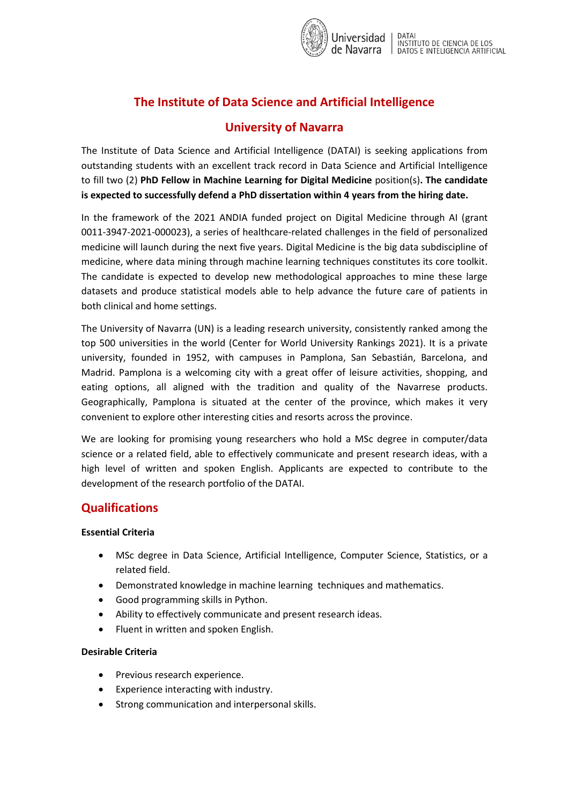

# **The Institute of Data Science and Artificial Intelligence**

# **University of Navarra**

The Institute of Data Science and Artificial Intelligence (DATAI) is seeking applications from outstanding students with an excellent track record in Data Science and Artificial Intelligence to fill two (2) **PhD Fellow in Machine Learning for Digital Medicine** position(s)**. The candidate is expected to successfully defend a PhD dissertation within 4 years from the hiring date.**

In the framework of the 2021 ANDIA funded project on Digital Medicine through AI (grant 0011-3947-2021-000023), a series of healthcare-related challenges in the field of personalized medicine will launch during the next five years. Digital Medicine is the big data subdiscipline of medicine, where data mining through machine learning techniques constitutes its core toolkit. The candidate is expected to develop new methodological approaches to mine these large datasets and produce statistical models able to help advance the future care of patients in both clinical and home settings.

The University of Navarra (UN) is a leading research university, consistently ranked among the top 500 universities in the world (Center for World University Rankings 2021). It is a private university, founded in 1952, with campuses in Pamplona, San Sebastián, Barcelona, and Madrid. Pamplona is a welcoming city with a great offer of leisure activities, shopping, and eating options, all aligned with the tradition and quality of the Navarrese products. Geographically, Pamplona is situated at the center of the province, which makes it very convenient to explore other interesting cities and resorts across the province.

We are looking for promising young researchers who hold a MSc degree in computer/data science or a related field, able to effectively communicate and present research ideas, with a high level of written and spoken English. Applicants are expected to contribute to the development of the research portfolio of the DATAI.

### **Qualifications**

#### **Essential Criteria**

- MSc degree in Data Science, Artificial Intelligence, Computer Science, Statistics, or a related field.
- Demonstrated knowledge in machine learning techniques and mathematics.
- Good programming skills in Python.
- Ability to effectively communicate and present research ideas.
- Fluent in written and spoken English.

### **Desirable Criteria**

- Previous research experience.
- Experience interacting with industry.
- Strong communication and interpersonal skills.